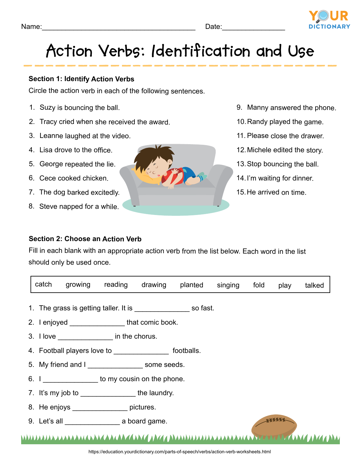

# **Action Verbs: Identification and Use**

## **Section 1: Identify Action Verbs**

Circle the action verb in each of the following sentences.

- 1. Suzy is bouncing the ball.
- 2. Tracy cried when she received the award.
- 3. Leanne laughed at the video.
- 4. Lisa drove to the office.
- 5. George repeated the lie.
- 6. Cece cooked chicken.
- 7. The dog barked excitedly.
- 8. Steve napped for a while.
- 9. Manny answered the phone.
- 10.Randy played the game.
- 11. Please close the drawer.
- 12.Michele edited the story.
- 13.Stop bouncing the ball.
- 14.I'm waiting for dinner.
- 15.He arrived on time.

## **Section 2: Choose an Action Verb**

Fill in each blank with an appropriate action verb from the list below. Each word in the list should only be used once.

| catch                                                 |                                                     | growing reading drawing |  |  | planted singing | fold | play | talked |  |  |  |
|-------------------------------------------------------|-----------------------------------------------------|-------------------------|--|--|-----------------|------|------|--------|--|--|--|
|                                                       |                                                     |                         |  |  |                 |      |      |        |  |  |  |
|                                                       | 2. I enjoyed ______________________that comic book. |                         |  |  |                 |      |      |        |  |  |  |
| 3. I love ______________________ in the chorus.       |                                                     |                         |  |  |                 |      |      |        |  |  |  |
| 4. Football players love to footballs.                |                                                     |                         |  |  |                 |      |      |        |  |  |  |
| 5. My friend and I ______________________ some seeds. |                                                     |                         |  |  |                 |      |      |        |  |  |  |
| 6. I b to my cousin on the phone.                     |                                                     |                         |  |  |                 |      |      |        |  |  |  |
| 7. It's my job to __________________the laundry.      |                                                     |                         |  |  |                 |      |      |        |  |  |  |
| 8. He enjoys ___________________ pictures.            |                                                     |                         |  |  |                 |      |      |        |  |  |  |
|                                                       |                                                     |                         |  |  |                 |      |      |        |  |  |  |
|                                                       |                                                     |                         |  |  |                 |      |      |        |  |  |  |